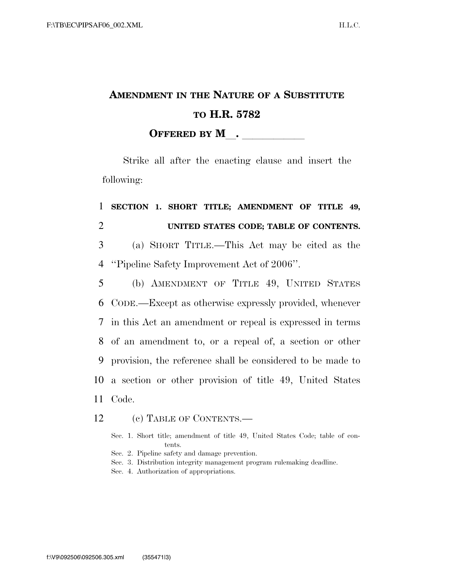# **AMENDMENT IN THE NATURE OF A SUBSTITUTE TO H.R. 5782**

**OFFERED BY M**.

Strike all after the enacting clause and insert the following:

## 1 **SECTION 1. SHORT TITLE; AMENDMENT OF TITLE 49,**  2 **UNITED STATES CODE; TABLE OF CONTENTS.**

3 (a) SHORT TITLE.—This Act may be cited as the 4 ''Pipeline Safety Improvement Act of 2006''.

 (b) AMENDMENT OF TITLE 49, UNITED STATES CODE.—Except as otherwise expressly provided, whenever in this Act an amendment or repeal is expressed in terms of an amendment to, or a repeal of, a section or other provision, the reference shall be considered to be made to a section or other provision of title 49, United States 11 Code.

#### 12 (c) TABLE OF CONTENTS.—

Sec. 1. Short title; amendment of title 49, United States Code; table of contents.

- Sec. 2. Pipeline safety and damage prevention.
- Sec. 3. Distribution integrity management program rulemaking deadline.
- Sec. 4. Authorization of appropriations.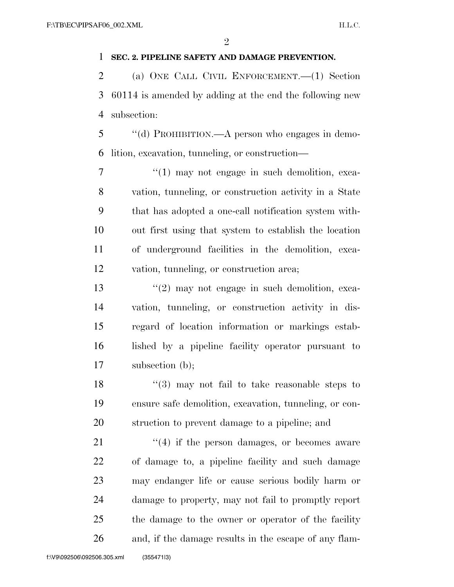$\mathfrak{D}$ 

#### **SEC. 2. PIPELINE SAFETY AND DAMAGE PREVENTION.**

 (a) ONE CALL CIVIL ENFORCEMENT.—(1) Section 60114 is amended by adding at the end the following new subsection:

 ''(d) PROHIBITION.—A person who engages in demo-lition, excavation, tunneling, or construction—

 $7 \t\t\t\t\t''(1)$  may not engage in such demolition, exca- vation, tunneling, or construction activity in a State that has adopted a one-call notification system with- out first using that system to establish the location of underground facilities in the demolition, exca-vation, tunneling, or construction area;

13 ''(2) may not engage in such demolition, exca- vation, tunneling, or construction activity in dis- regard of location information or markings estab- lished by a pipeline facility operator pursuant to subsection (b);

 ''(3) may not fail to take reasonable steps to ensure safe demolition, excavation, tunneling, or con-struction to prevent damage to a pipeline; and

21 ''(4) if the person damages, or becomes aware of damage to, a pipeline facility and such damage may endanger life or cause serious bodily harm or damage to property, may not fail to promptly report the damage to the owner or operator of the facility and, if the damage results in the escape of any flam-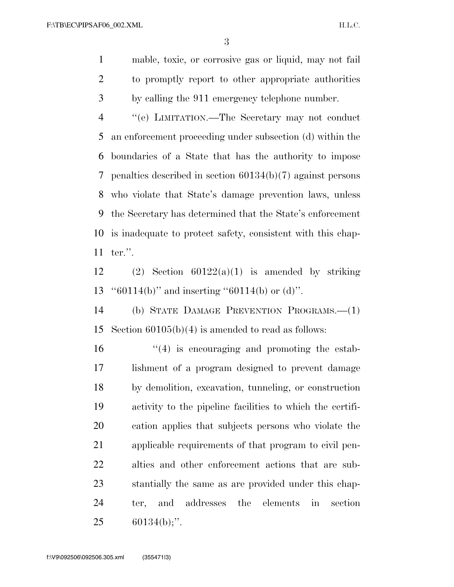mable, toxic, or corrosive gas or liquid, may not fail to promptly report to other appropriate authorities by calling the 911 emergency telephone number.

 ''(e) LIMITATION.—The Secretary may not conduct an enforcement proceeding under subsection (d) within the boundaries of a State that has the authority to impose penalties described in section 60134(b)(7) against persons who violate that State's damage prevention laws, unless the Secretary has determined that the State's enforcement is inadequate to protect safety, consistent with this chap-ter.''.

12 (2) Section  $60122(a)(1)$  is amended by striking ''60114(b)'' and inserting ''60114(b) or (d)''.

 (b) STATE DAMAGE PREVENTION PROGRAMS.—(1) Section 60105(b)(4) is amended to read as follows:

 $\mathcal{L}(4)$  is encouraging and promoting the estab- lishment of a program designed to prevent damage by demolition, excavation, tunneling, or construction activity to the pipeline facilities to which the certifi- cation applies that subjects persons who violate the applicable requirements of that program to civil pen- alties and other enforcement actions that are sub- stantially the same as are provided under this chap- ter, and addresses the elements in section 60134(b);''.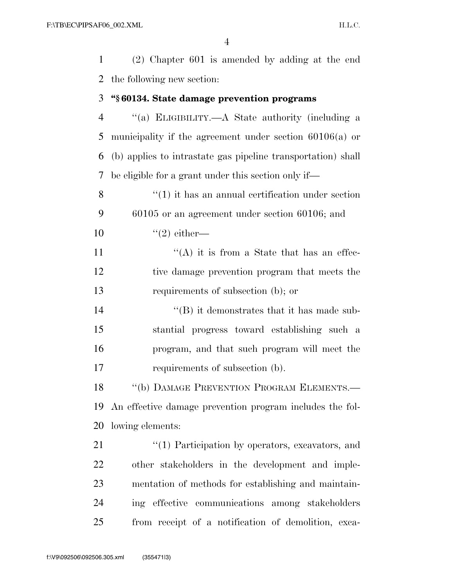| $\mathbf{1}$   | $(2)$ Chapter 601 is amended by adding at the end            |
|----------------|--------------------------------------------------------------|
| 2              | the following new section:                                   |
| 3              | "§60134. State damage prevention programs                    |
| $\overline{4}$ | "(a) ELIGIBILITY.—A State authority (including a             |
| 5              | municipality if the agreement under section $60106(a)$ or    |
| 6              | (b) applies to intrastate gas pipeline transportation) shall |
| 7              | be eligible for a grant under this section only if—          |
| 8              | $\cdot\cdot(1)$ it has an annual certification under section |
| 9              | $60105$ or an agreement under section $60106$ ; and          |
| 10             | $\lq(2)$ either—                                             |
| 11             | "(A) it is from a State that has an effec-                   |
| 12             | tive damage prevention program that meets the                |
| 13             | requirements of subsection (b); or                           |
| 14             | $\lq\lq$ ) it demonstrates that it has made sub-             |
| 15             | stantial progress toward establishing such a                 |
| 16             | program, and that such program will meet the                 |
| 17             | requirements of subsection (b).                              |
| 18             | "(b) DAMAGE PREVENTION PROGRAM ELEMENTS.                     |
| 19             | An effective damage prevention program includes the fol-     |
| 20             | lowing elements:                                             |
| 21             | $\lq(1)$ Participation by operators, excavators, and         |
| 22             | other stakeholders in the development and imple-             |
| 23             | mentation of methods for establishing and maintain-          |
| 24             | ing effective communications among stakeholders              |
| 25             | from receipt of a notification of demolition, exca-          |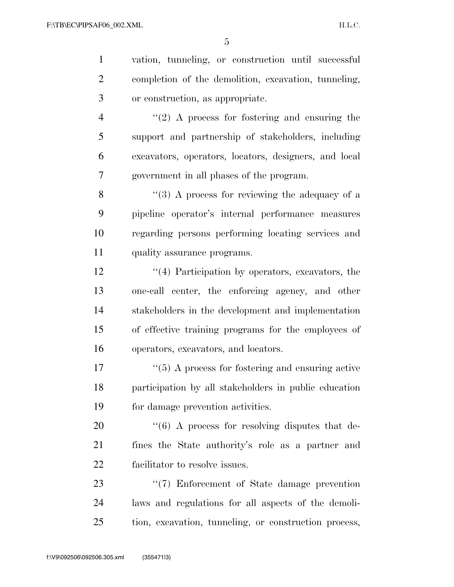| $\mathbf{1}$   | vation, tunneling, or construction until successful             |
|----------------|-----------------------------------------------------------------|
| $\overline{2}$ | completion of the demolition, excavation, tunneling,            |
| 3              | or construction, as appropriate.                                |
| $\overline{4}$ | $\lq(2)$ A process for fostering and ensuring the               |
| 5              | support and partnership of stakeholders, including              |
| 6              | excavators, operators, locators, designers, and local           |
| 7              | government in all phases of the program.                        |
| 8              | $\lq(3)$ A process for reviewing the adequacy of a              |
| 9              | pipeline operator's internal performance measures               |
| 10             | regarding persons performing locating services and              |
| 11             | quality assurance programs.                                     |
| 12             | $\lq(4)$ Participation by operators, excavators, the            |
| 13             | one-call center, the enforcing agency, and other                |
| 14             | stakeholders in the development and implementation              |
| 15             | of effective training programs for the employees of             |
| 16             | operators, excavators, and locators.                            |
| 17             | $\lq(5)$ A process for fostering and ensuring active            |
| 18             | participation by all stakeholders in public education           |
| 19             | for damage prevention activities.                               |
| 20             | $\cdot\cdot\cdot$ (6) A process for resolving disputes that de- |
| 21             | fines the State authority's role as a partner and               |
| 22             | facilitator to resolve issues.                                  |
| 23             | $\lq(7)$ Enforcement of State damage prevention                 |
| 24             | laws and regulations for all aspects of the demoli-             |
| 25             | tion, excavation, tunneling, or construction process,           |
|                |                                                                 |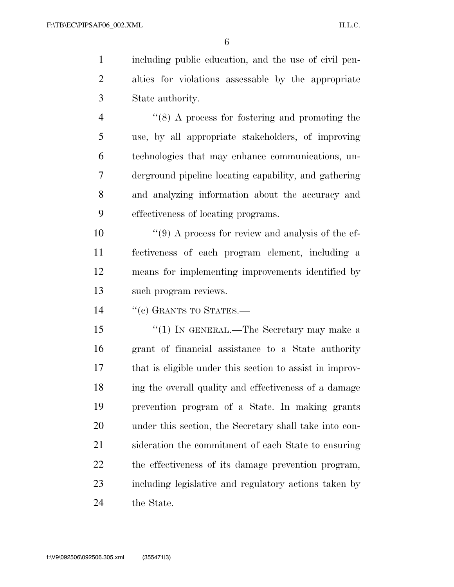including public education, and the use of civil pen- alties for violations assessable by the appropriate State authority.

 ''(8) A process for fostering and promoting the use, by all appropriate stakeholders, of improving technologies that may enhance communications, un- derground pipeline locating capability, and gathering and analyzing information about the accuracy and effectiveness of locating programs.

 $\frac{10}{2}$  ''(9) A process for review and analysis of the ef- fectiveness of each program element, including a means for implementing improvements identified by such program reviews.

14 "(c) GRANTS TO STATES.—

15 ''(1) In GENERAL.—The Secretary may make a grant of financial assistance to a State authority that is eligible under this section to assist in improv- ing the overall quality and effectiveness of a damage prevention program of a State. In making grants under this section, the Secretary shall take into con- sideration the commitment of each State to ensuring the effectiveness of its damage prevention program, including legislative and regulatory actions taken by the State.

f:\V9\092506\092506.305.xml (355471|3)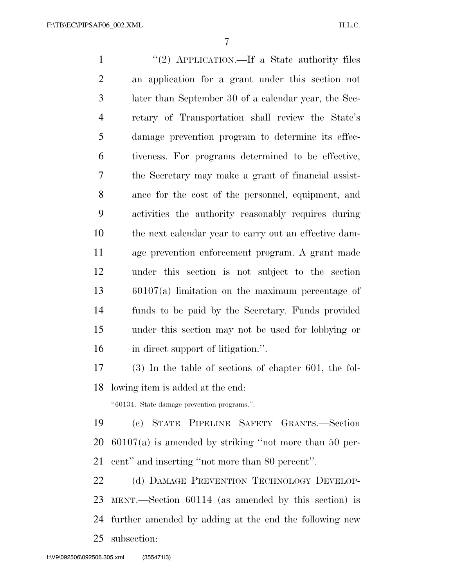1 "(2) APPLICATION.—If a State authority files an application for a grant under this section not later than September 30 of a calendar year, the Sec- retary of Transportation shall review the State's damage prevention program to determine its effec- tiveness. For programs determined to be effective, the Secretary may make a grant of financial assist- ance for the cost of the personnel, equipment, and activities the authority reasonably requires during the next calendar year to carry out an effective dam- age prevention enforcement program. A grant made under this section is not subject to the section 60107(a) limitation on the maximum percentage of funds to be paid by the Secretary. Funds provided under this section may not be used for lobbying or in direct support of litigation.''. (3) In the table of sections of chapter 601, the fol- lowing item is added at the end: ''60134. State damage prevention programs.''. (c) STATE PIPELINE SAFETY GRANTS.—Section

 60107(a) is amended by striking ''not more than 50 per-cent'' and inserting ''not more than 80 percent''.

22 (d) DAMAGE PREVENTION TECHNOLOGY DEVELOP- MENT.—Section 60114 (as amended by this section) is further amended by adding at the end the following new subsection: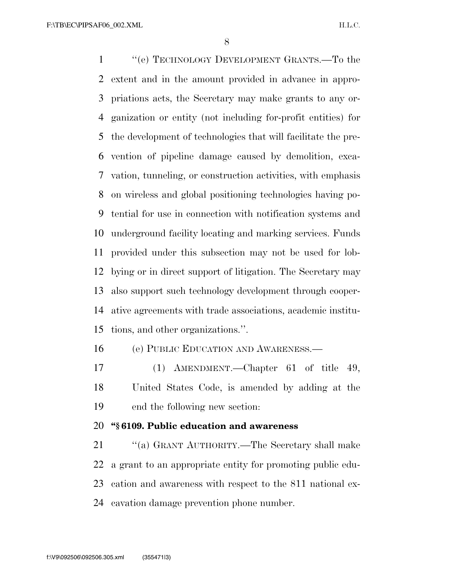''(e) TECHNOLOGY DEVELOPMENT GRANTS.—To the extent and in the amount provided in advance in appro- priations acts, the Secretary may make grants to any or- ganization or entity (not including for-profit entities) for the development of technologies that will facilitate the pre- vention of pipeline damage caused by demolition, exca- vation, tunneling, or construction activities, with emphasis on wireless and global positioning technologies having po- tential for use in connection with notification systems and underground facility locating and marking services. Funds provided under this subsection may not be used for lob- bying or in direct support of litigation. The Secretary may also support such technology development through cooper- ative agreements with trade associations, academic institu-tions, and other organizations.''.

(e) PUBLIC EDUCATION AND AWARENESS.—

 (1) AMENDMENT.—Chapter 61 of title 49, United States Code, is amended by adding at the end the following new section:

#### **''§ 6109. Public education and awareness**

 ''(a) GRANT AUTHORITY.—The Secretary shall make a grant to an appropriate entity for promoting public edu- cation and awareness with respect to the 811 national ex-cavation damage prevention phone number.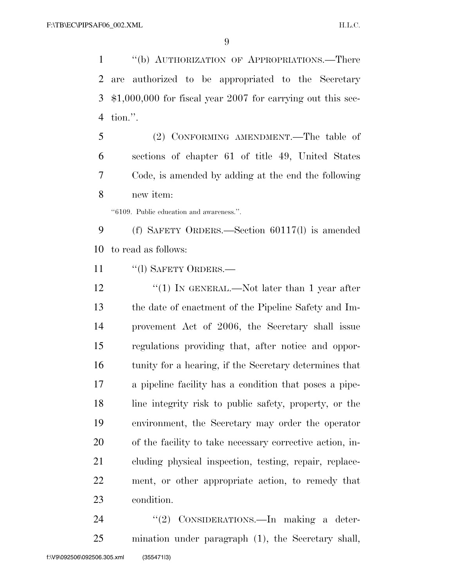''(b) AUTHORIZATION OF APPROPRIATIONS.—There are authorized to be appropriated to the Secretary \$1,000,000 for fiscal year 2007 for carrying out this sec-tion.''.

 (2) CONFORMING AMENDMENT.—The table of sections of chapter 61 of title 49, United States Code, is amended by adding at the end the following new item:

''6109. Public education and awareness.''.

 (f) SAFETY ORDERS.—Section 60117(l) is amended to read as follows:

11 "(I) SAFETY ORDERS.—

12 ''(1) IN GENERAL.—Not later than 1 year after the date of enactment of the Pipeline Safety and Im- provement Act of 2006, the Secretary shall issue regulations providing that, after notice and oppor- tunity for a hearing, if the Secretary determines that a pipeline facility has a condition that poses a pipe- line integrity risk to public safety, property, or the environment, the Secretary may order the operator of the facility to take necessary corrective action, in- cluding physical inspection, testing, repair, replace- ment, or other appropriate action, to remedy that condition.

24 "(2) CONSIDERATIONS.—In making a deter-mination under paragraph (1), the Secretary shall,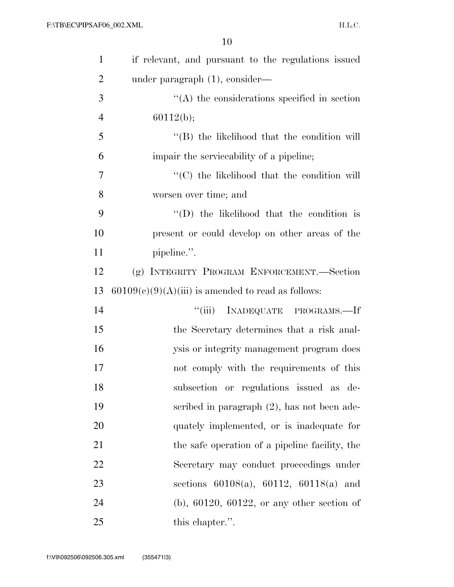| $\mathbf{1}$   | if relevant, and pursuant to the regulations issued  |
|----------------|------------------------------------------------------|
| $\overline{2}$ | under paragraph (1), consider—                       |
| 3              | $\lq\lq$ the considerations specified in section     |
| $\overline{4}$ | 60112(b);                                            |
| 5              | $\lq\lq$ the likelihood that the condition will      |
| 6              | impair the serviceability of a pipeline;             |
| 7              | "(C) the likelihood that the condition will          |
| 8              | worsen over time; and                                |
| 9              | $\lq\lq$ the likelihood that the condition is        |
| 10             | present or could develop on other areas of the       |
| 11             | pipeline.".                                          |
| 12             | (g) INTEGRITY PROGRAM ENFORCEMENT.—Section           |
| 13             | $60109(c)(9)(A)(iii)$ is amended to read as follows: |
| 14             | ``(iii)<br>INADEQUATE PROGRAMS.-If                   |
| 15             | the Secretary determines that a risk anal-           |
| 16             | ysis or integrity management program does            |
| 17             | not comply with the requirements of this             |
| 18             | subsection or regulations issued as de-              |
| 19             | scribed in paragraph $(2)$ , has not been ade-       |
| 20             | quately implemented, or is inadequate for            |
| 21             | the safe operation of a pipeline facility, the       |
| 22             | Secretary may conduct proceedings under              |
| 23             | sections $60108(a)$ , $60112$ , $60118(a)$ and       |
| 24             | $(b)$ , 60120, 60122, or any other section of        |
| 25             | this chapter.".                                      |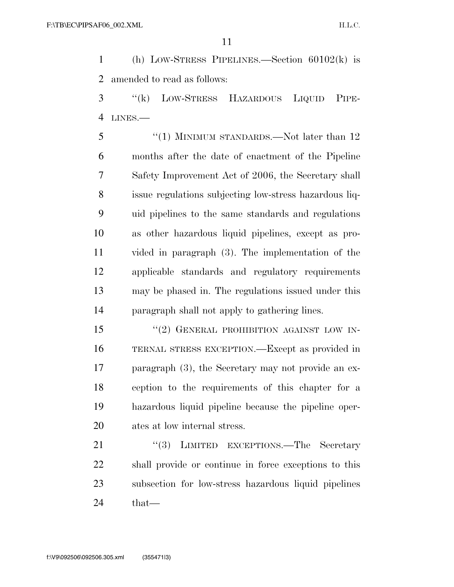(h) LOW-STRESS PIPELINES.—Section 60102(k) is amended to read as follows:

 ''(k) LOW-STRESS HAZARDOUS LIQUID PIPE-LINES.—

5 "(1) MINIMUM STANDARDS.—Not later than 12 months after the date of enactment of the Pipeline Safety Improvement Act of 2006, the Secretary shall issue regulations subjecting low-stress hazardous liq- uid pipelines to the same standards and regulations as other hazardous liquid pipelines, except as pro- vided in paragraph (3). The implementation of the applicable standards and regulatory requirements may be phased in. The regulations issued under this paragraph shall not apply to gathering lines.

15 "(2) GENERAL PROHIBITION AGAINST LOW IN- TERNAL STRESS EXCEPTION.—Except as provided in paragraph (3), the Secretary may not provide an ex- ception to the requirements of this chapter for a hazardous liquid pipeline because the pipeline oper-ates at low internal stress.

21 "(3) LIMITED EXCEPTIONS.—The Secretary shall provide or continue in force exceptions to this subsection for low-stress hazardous liquid pipelines that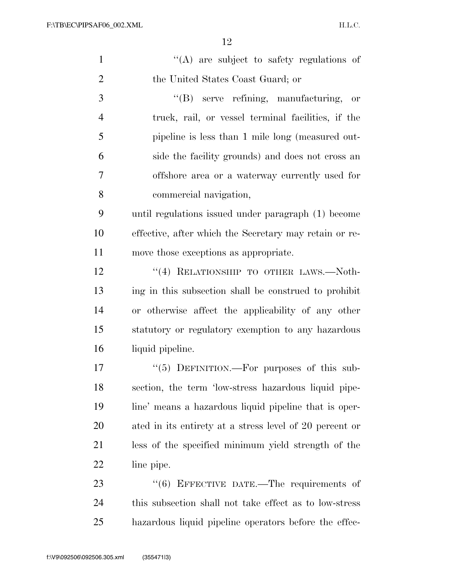| $\mathbf{1}$   | "(A) are subject to safety regulations of               |
|----------------|---------------------------------------------------------|
| $\overline{2}$ | the United States Coast Guard; or                       |
| 3              | "(B) serve refining, manufacturing, or                  |
| $\overline{4}$ | truck, rail, or vessel terminal facilities, if the      |
| 5              | pipeline is less than 1 mile long (measured out-        |
| 6              | side the facility grounds) and does not cross an        |
| 7              | offshore area or a waterway currently used for          |
| 8              | commercial navigation,                                  |
| 9              | until regulations issued under paragraph (1) become     |
| 10             | effective, after which the Secretary may retain or re-  |
| 11             | move those exceptions as appropriate.                   |
| 12             | "(4) RELATIONSHIP TO OTHER LAWS.—Noth-                  |
| 13             | ing in this subsection shall be construed to prohibit   |
| 14             | or otherwise affect the applicability of any other      |
| 15             | statutory or regulatory exemption to any hazardous      |
| 16             | liquid pipeline.                                        |
| 17             | "(5) DEFINITION.—For purposes of this sub-              |
| 18             | section, the term 'low-stress hazardous liquid pipe-    |
| 19             | line' means a hazardous liquid pipeline that is oper-   |
| 20             | ated in its entirety at a stress level of 20 percent or |
| 21             | less of the specified minimum yield strength of the     |
| 22             | line pipe.                                              |
| 23             | "(6) EFFECTIVE DATE.—The requirements of                |
| 24             | this subsection shall not take effect as to low-stress  |
| 25             | hazardous liquid pipeline operators before the effec-   |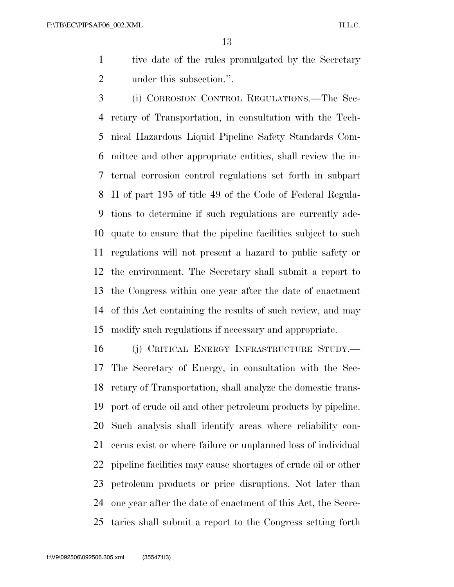tive date of the rules promulgated by the Secretary under this subsection.''.

 (i) CORROSION CONTROL REGULATIONS.—The Sec- retary of Transportation, in consultation with the Tech- nical Hazardous Liquid Pipeline Safety Standards Com- mittee and other appropriate entities, shall review the in- ternal corrosion control regulations set forth in subpart H of part 195 of title 49 of the Code of Federal Regula- tions to determine if such regulations are currently ade- quate to ensure that the pipeline facilities subject to such regulations will not present a hazard to public safety or the environment. The Secretary shall submit a report to the Congress within one year after the date of enactment of this Act containing the results of such review, and may modify such regulations if necessary and appropriate.

 (j) CRITICAL ENERGY INFRASTRUCTURE STUDY.— The Secretary of Energy, in consultation with the Sec- retary of Transportation, shall analyze the domestic trans- port of crude oil and other petroleum products by pipeline. Such analysis shall identify areas where reliability con- cerns exist or where failure or unplanned loss of individual pipeline facilities may cause shortages of crude oil or other petroleum products or price disruptions. Not later than one year after the date of enactment of this Act, the Secre-taries shall submit a report to the Congress setting forth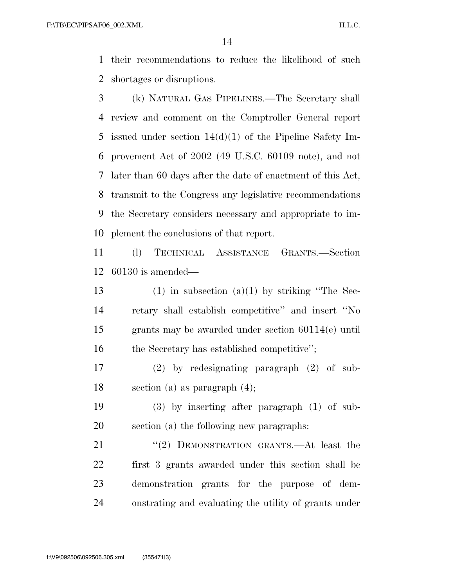their recommendations to reduce the likelihood of such shortages or disruptions.

 (k) NATURAL GAS PIPELINES.—The Secretary shall review and comment on the Comptroller General report issued under section 14(d)(1) of the Pipeline Safety Im- provement Act of 2002 (49 U.S.C. 60109 note), and not later than 60 days after the date of enactment of this Act, transmit to the Congress any legislative recommendations the Secretary considers necessary and appropriate to im-plement the conclusions of that report.

 (l) TECHNICAL ASSISTANCE GRANTS.—Section 60130 is amended—

13 (1) in subsection (a)(1) by striking "The Sec- retary shall establish competitive'' and insert ''No grants may be awarded under section 60114(e) until 16 the Secretary has established competitive'';

 (2) by redesignating paragraph (2) of sub-section (a) as paragraph (4);

 (3) by inserting after paragraph (1) of sub-section (a) the following new paragraphs:

21 "(2) DEMONSTRATION GRANTS.—At least the first 3 grants awarded under this section shall be demonstration grants for the purpose of dem-onstrating and evaluating the utility of grants under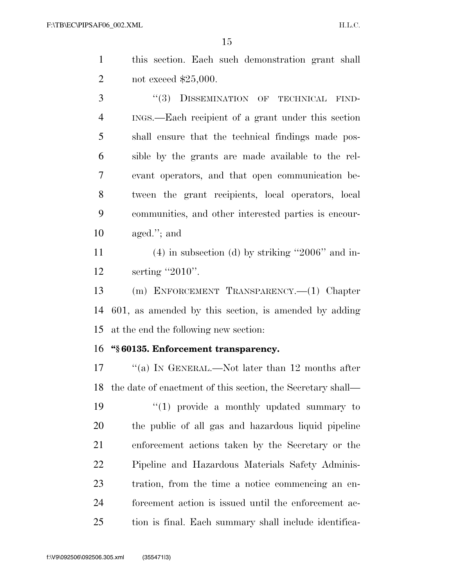this section. Each such demonstration grant shall not exceed \$25,000.

3 "(3) DISSEMINATION OF TECHNICAL FIND- INGS.—Each recipient of a grant under this section shall ensure that the technical findings made pos- sible by the grants are made available to the rel- evant operators, and that open communication be- tween the grant recipients, local operators, local communities, and other interested parties is encour-aged.''; and

 (4) in subsection (d) by striking ''2006'' and in-12 serting "2010".

 (m) ENFORCEMENT TRANSPARENCY.—(1) Chapter 601, as amended by this section, is amended by adding at the end the following new section:

#### **''§ 60135. Enforcement transparency.**

17 ''(a) In GENERAL.—Not later than 12 months after the date of enactment of this section, the Secretary shall— 19 ''(1) provide a monthly updated summary to the public of all gas and hazardous liquid pipeline enforcement actions taken by the Secretary or the Pipeline and Hazardous Materials Safety Adminis- tration, from the time a notice commencing an en- forcement action is issued until the enforcement ac-tion is final. Each summary shall include identifica-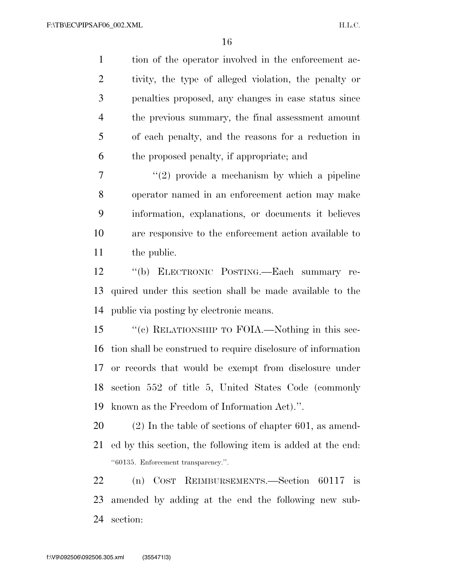tion of the operator involved in the enforcement ac- tivity, the type of alleged violation, the penalty or penalties proposed, any changes in case status since the previous summary, the final assessment amount of each penalty, and the reasons for a reduction in the proposed penalty, if appropriate; and

 $\frac{1}{2}$  ''(2) provide a mechanism by which a pipeline operator named in an enforcement action may make information, explanations, or documents it believes are responsive to the enforcement action available to the public.

 ''(b) ELECTRONIC POSTING.—Each summary re- quired under this section shall be made available to the public via posting by electronic means.

 ''(c) RELATIONSHIP TO FOIA.—Nothing in this sec- tion shall be construed to require disclosure of information or records that would be exempt from disclosure under section 552 of title 5, United States Code (commonly known as the Freedom of Information Act).''.

 (2) In the table of sections of chapter 601, as amend- ed by this section, the following item is added at the end: ''60135. Enforcement transparency.''.

 (n) COST REIMBURSEMENTS.—Section 60117 is amended by adding at the end the following new sub-section: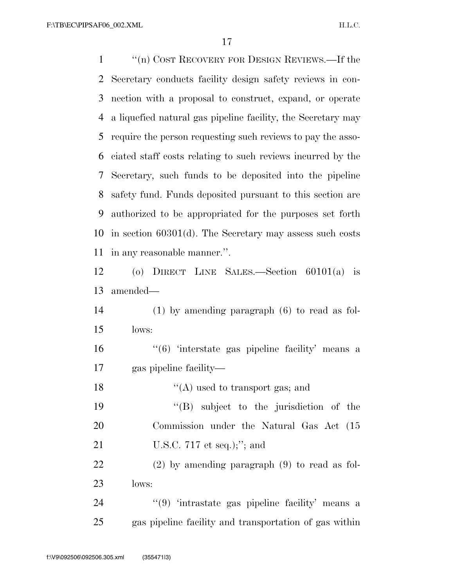''(n) COST RECOVERY FOR DESIGN REVIEWS.—If the Secretary conducts facility design safety reviews in con- nection with a proposal to construct, expand, or operate a liquefied natural gas pipeline facility, the Secretary may require the person requesting such reviews to pay the asso- ciated staff costs relating to such reviews incurred by the Secretary, such funds to be deposited into the pipeline safety fund. Funds deposited pursuant to this section are authorized to be appropriated for the purposes set forth in section 60301(d). The Secretary may assess such costs in any reasonable manner.''. (o) DIRECT LINE SALES.—Section 60101(a) is amended— (1) by amending paragraph (6) to read as fol- lows: 16 '(6) 'interstate gas pipeline facility' means a gas pipeline facility— 18 ''(A) used to transport gas; and ''(B) subject to the jurisdiction of the Commission under the Natural Gas Act (15 U.S.C. 717 et seq.);''; and (2) by amending paragraph (9) to read as fol- lows: 24 "(9) 'intrastate gas pipeline facility' means a

gas pipeline facility and transportation of gas within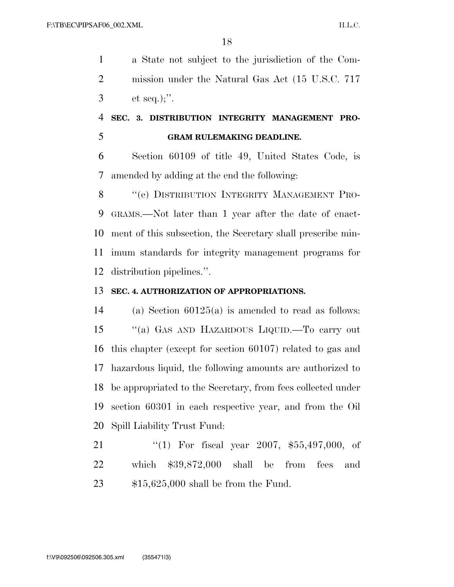a State not subject to the jurisdiction of the Com- mission under the Natural Gas Act (15 U.S.C. 717 et seq.);''.

### **SEC. 3. DISTRIBUTION INTEGRITY MANAGEMENT PRO-GRAM RULEMAKING DEADLINE.**

 Section 60109 of title 49, United States Code, is amended by adding at the end the following:

8 "(e) DISTRIBUTION INTEGRITY MANAGEMENT PRO- GRAMS.—Not later than 1 year after the date of enact- ment of this subsection, the Secretary shall prescribe min- imum standards for integrity management programs for distribution pipelines.''.

#### **SEC. 4. AUTHORIZATION OF APPROPRIATIONS.**

 (a) Section 60125(a) is amended to read as follows: ''(a) GAS AND HAZARDOUS LIQUID.—To carry out this chapter (except for section 60107) related to gas and hazardous liquid, the following amounts are authorized to be appropriated to the Secretary, from fees collected under section 60301 in each respective year, and from the Oil Spill Liability Trust Fund:

 ''(1) For fiscal year 2007, \$55,497,000, of which \$39,872,000 shall be from fees and \$15,625,000 shall be from the Fund.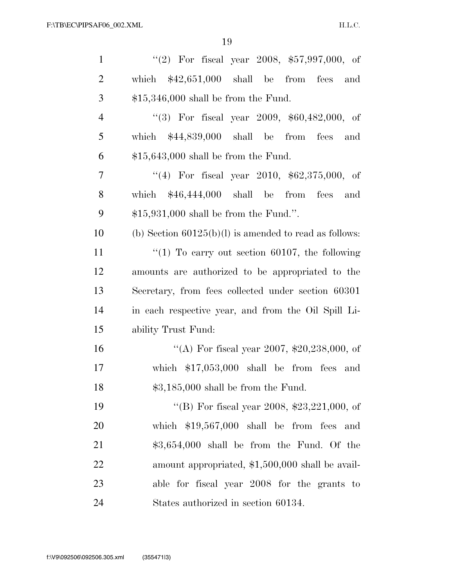| $\mathbf{1}$   | "(2) For fiscal year 2008, $$57,997,000$ , of            |
|----------------|----------------------------------------------------------|
| $\overline{2}$ | which $$42,651,000$ shall be from fees and               |
| 3              | $$15,346,000$ shall be from the Fund.                    |
| $\overline{4}$ | "(3) For fiscal year 2009, $$60,482,000$ , of            |
| 5              | which $$44,839,000$ shall be from fees and               |
| 6              | $$15,643,000$ shall be from the Fund.                    |
| $\overline{7}$ | "(4) For fiscal year 2010, $$62,375,000$ , of            |
| $8\,$          | which $$46,444,000$ shall be from fees<br>and            |
| 9              | $$15,931,000$ shall be from the Fund.".                  |
| 10             | (b) Section $60125(b)(l)$ is amended to read as follows: |
| 11             | "(1) To carry out section 60107, the following           |
| 12             | amounts are authorized to be appropriated to the         |
| 13             | Secretary, from fees collected under section 60301       |
| 14             | in each respective year, and from the Oil Spill Li-      |
| 15             | ability Trust Fund:                                      |
| 16             | "(A) For fiscal year 2007, $$20,238,000$ , of            |
| 17             | which $$17,053,000$ shall be from fees and               |
| 18             | $$3,185,000$ shall be from the Fund.                     |
| 19             | "(B) For fiscal year 2008, $$23,221,000$ , of            |
| 20             | which $$19,567,000$ shall be from fees and               |
| 21             | $$3,654,000$ shall be from the Fund. Of the              |
| 22             | amount appropriated, \$1,500,000 shall be avail-         |
| 23             | able for fiscal year 2008 for the grants to              |
| 24             | States authorized in section 60134.                      |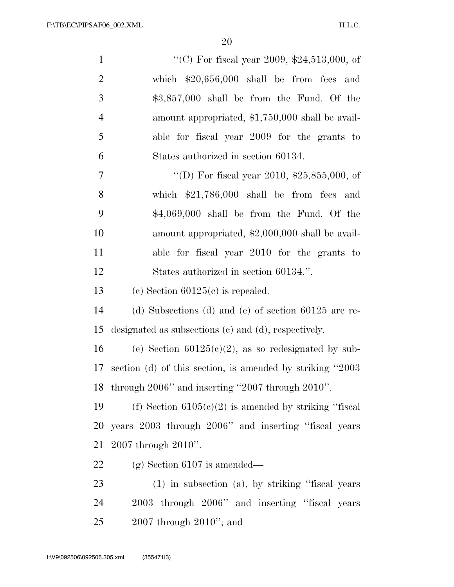| $\mathbf{1}$   | "(C) For fiscal year 2009, $$24,513,000$ , of             |
|----------------|-----------------------------------------------------------|
| $\overline{2}$ | which $$20,656,000$ shall be from fees and                |
| 3              | $$3,857,000$ shall be from the Fund. Of the               |
| $\overline{4}$ | amount appropriated, \$1,750,000 shall be avail-          |
| 5              | able for fiscal year 2009 for the grants to               |
| 6              | States authorized in section 60134.                       |
| 7              | "(D) For fiscal year 2010, $$25,855,000$ , of             |
| 8              | which $$21,786,000$ shall be from fees<br>and             |
| 9              | $$4,069,000$ shall be from the Fund. Of the               |
| 10             | amount appropriated, \$2,000,000 shall be avail-          |
| 11             | able for fiscal year 2010 for the grants to               |
| 12             | States authorized in section 60134.".                     |
| 13             | (c) Section $60125(c)$ is repealed.                       |
| 14             | (d) Subsections (d) and (e) of section $60125$ are re-    |
| 15             | designated as subsections (c) and (d), respectively.      |
| 16             | (e) Section $60125(c)(2)$ , as so redesignated by sub-    |
| 17             | section (d) of this section, is amended by striking "2003 |
| 18             | through $2006$ " and inserting " $2007$ through $2010$ ". |
| 19             | (f) Section $6105(c)(2)$ is amended by striking "fiscal   |
| 20             | years 2003 through 2006" and inserting "fiscal years      |
| 21             | $2007$ through $2010$ ".                                  |
| 22             | $(g)$ Section 6107 is amended—                            |
| 23             | $(1)$ in subsection $(a)$ , by striking "fiscal years"    |
| 24             | 2003 through 2006" and inserting "fiscal years            |
| 25             | $2007$ through $2010$ "; and                              |